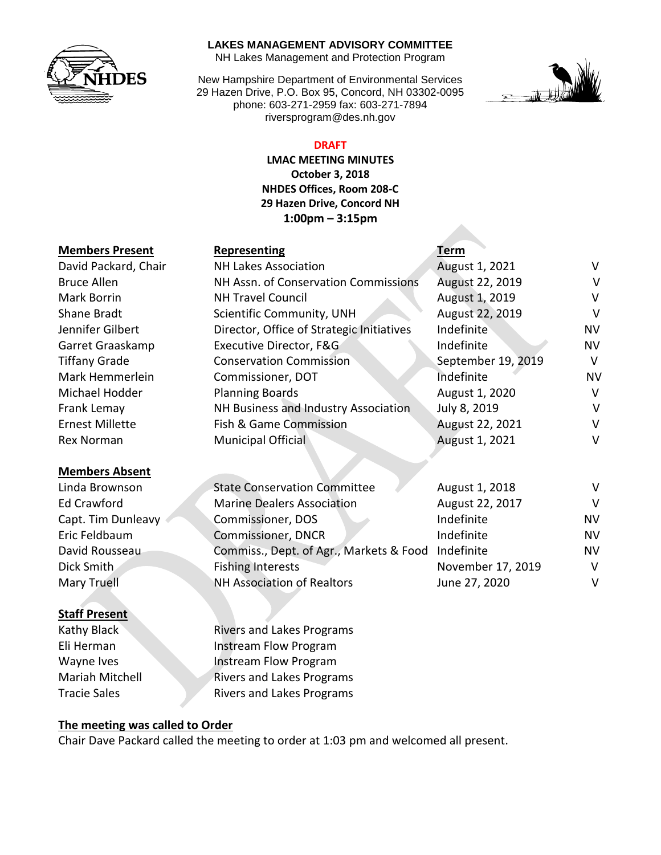

#### **LAKES MANAGEMENT ADVISORY COMMITTEE**

NH Lakes Management and Protection Program

New Hampshire Department of Environmental Services 29 Hazen Drive, P.O. Box 95, Concord, NH 03302-0095 phone: 603-271-2959 fax: 603-271-7894 riversprogram@des.nh.gov



### **DRAFT**

**LMAC MEETING MINUTES October 3, 2018 NHDES Offices, Room 208-C 29 Hazen Drive, Concord NH 1:00pm – 3:15pm**

| <b>Members Present</b> | Representing                              | Term               |           |
|------------------------|-------------------------------------------|--------------------|-----------|
| David Packard, Chair   | <b>NH Lakes Association</b>               | August 1, 2021     | V         |
| <b>Bruce Allen</b>     | NH Assn. of Conservation Commissions      | August 22, 2019    | $\vee$    |
| <b>Mark Borrin</b>     | <b>NH Travel Council</b>                  | August 1, 2019     | V         |
| Shane Bradt            | Scientific Community, UNH                 | August 22, 2019    | V         |
| Jennifer Gilbert       | Director, Office of Strategic Initiatives | Indefinite         | <b>NV</b> |
| Garret Graaskamp       | Executive Director, F&G                   | Indefinite         | <b>NV</b> |
| <b>Tiffany Grade</b>   | <b>Conservation Commission</b>            | September 19, 2019 | V         |
| Mark Hemmerlein        | Commissioner, DOT                         | Indefinite         | <b>NV</b> |
| Michael Hodder         | <b>Planning Boards</b>                    | August 1, 2020     | V         |
| Frank Lemay            | NH Business and Industry Association      | July 8, 2019       | $\vee$    |
| <b>Ernest Millette</b> | Fish & Game Commission                    | August 22, 2021    | V         |
| <b>Rex Norman</b>      | Municipal Official                        | August 1, 2021     | V         |
| <b>Members Absent</b>  |                                           |                    |           |

| Linda Brownson     |
|--------------------|
| Ed Crawford        |
| Capt. Tim Dunleavy |
| Eric Feldbaum      |
| David Rousseau     |
| Dick Smith         |
| <b>Mary Truell</b> |

### **Staff Present**

State Conservation Committee August 1, 2018 Marine Dealers Association **August 22, 2017** V Commissioner, DOS Indefinite NV **Commissioner, DNCR Indefinite NV** Commiss., Dept. of Agr., Markets & Food Indefinite NV Fishing Interests November 17, 2019 V NH Association of Realtors June 27, 2020

Kathy Black Rivers and Lakes Programs Eli Herman Instream Flow Program Wayne Ives **Instream Flow Program** Mariah Mitchell Rivers and Lakes Programs Tracie Sales **Rivers and Lakes Programs** 

### **The meeting was called to Order**

Chair Dave Packard called the meeting to order at 1:03 pm and welcomed all present.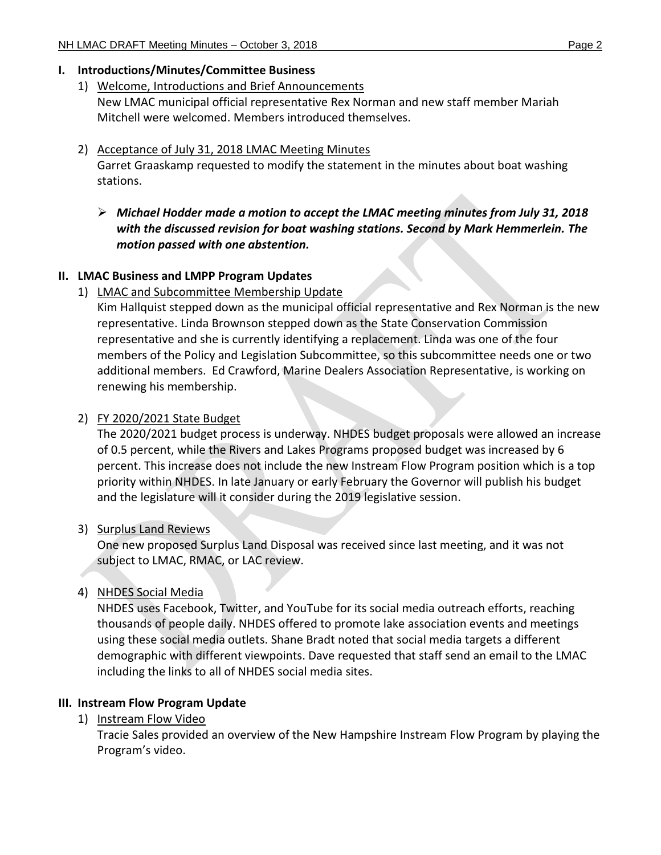## **I. Introductions/Minutes/Committee Business**

# 1) Welcome, Introductions and Brief Announcements

New LMAC municipal official representative Rex Norman and new staff member Mariah Mitchell were welcomed. Members introduced themselves.

# 2) Acceptance of July 31, 2018 LMAC Meeting Minutes

Garret Graaskamp requested to modify the statement in the minutes about boat washing stations.

 *Michael Hodder made a motion to accept the LMAC meeting minutes from July 31, 2018 with the discussed revision for boat washing stations. Second by Mark Hemmerlein. The motion passed with one abstention.*

# **II. LMAC Business and LMPP Program Updates**

# 1) LMAC and Subcommittee Membership Update

Kim Hallquist stepped down as the municipal official representative and Rex Norman is the new representative. Linda Brownson stepped down as the State Conservation Commission representative and she is currently identifying a replacement. Linda was one of the four members of the Policy and Legislation Subcommittee, so this subcommittee needs one or two additional members. Ed Crawford, Marine Dealers Association Representative, is working on renewing his membership.

# 2) FY 2020/2021 State Budget

The 2020/2021 budget process is underway. NHDES budget proposals were allowed an increase of 0.5 percent, while the Rivers and Lakes Programs proposed budget was increased by 6 percent. This increase does not include the new Instream Flow Program position which is a top priority within NHDES. In late January or early February the Governor will publish his budget and the legislature will it consider during the 2019 legislative session.

# 3) Surplus Land Reviews

One new proposed Surplus Land Disposal was received since last meeting, and it was not subject to LMAC, RMAC, or LAC review.

# 4) NHDES Social Media

NHDES uses Facebook, Twitter, and YouTube for its social media outreach efforts, reaching thousands of people daily. NHDES offered to promote lake association events and meetings using these social media outlets. Shane Bradt noted that social media targets a different demographic with different viewpoints. Dave requested that staff send an email to the LMAC including the links to all of NHDES social media sites.

# **III. Instream Flow Program Update**

1) Instream Flow Video

Tracie Sales provided an overview of the New Hampshire Instream Flow Program by playing the Program's video.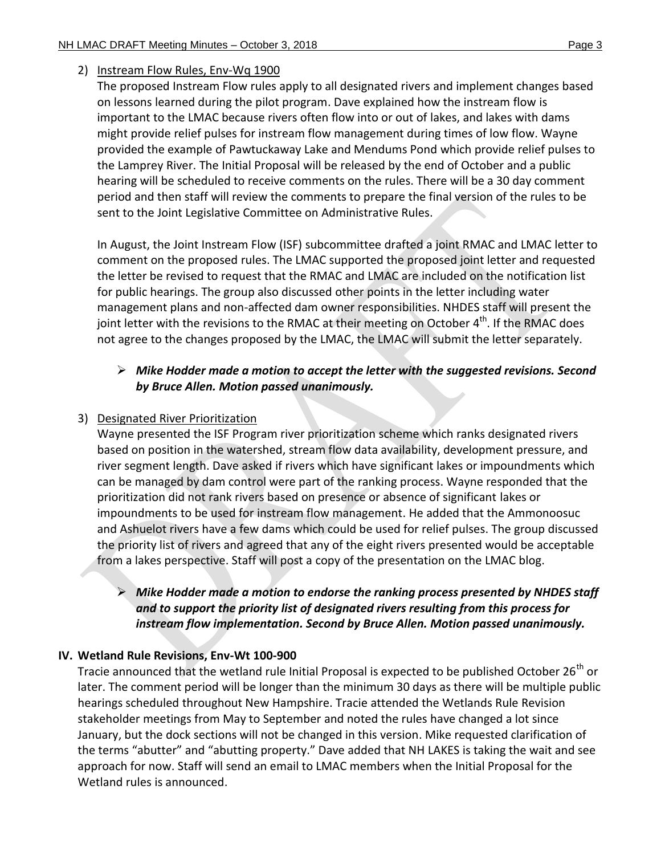## 2) Instream Flow Rules, Env-Wq 1900

The proposed Instream Flow rules apply to all designated rivers and implement changes based on lessons learned during the pilot program. Dave explained how the instream flow is important to the LMAC because rivers often flow into or out of lakes, and lakes with dams might provide relief pulses for instream flow management during times of low flow. Wayne provided the example of Pawtuckaway Lake and Mendums Pond which provide relief pulses to the Lamprey River. The Initial Proposal will be released by the end of October and a public hearing will be scheduled to receive comments on the rules. There will be a 30 day comment period and then staff will review the comments to prepare the final version of the rules to be sent to the Joint Legislative Committee on Administrative Rules.

In August, the Joint Instream Flow (ISF) subcommittee drafted a joint RMAC and LMAC letter to comment on the proposed rules. The LMAC supported the proposed joint letter and requested the letter be revised to request that the RMAC and LMAC are included on the notification list for public hearings. The group also discussed other points in the letter including water management plans and non-affected dam owner responsibilities. NHDES staff will present the joint letter with the revisions to the RMAC at their meeting on October 4<sup>th</sup>. If the RMAC does not agree to the changes proposed by the LMAC, the LMAC will submit the letter separately.

## *Mike Hodder made a motion to accept the letter with the suggested revisions. Second by Bruce Allen. Motion passed unanimously.*

## 3) Designated River Prioritization

Wayne presented the ISF Program river prioritization scheme which ranks designated rivers based on position in the watershed, stream flow data availability, development pressure, and river segment length. Dave asked if rivers which have significant lakes or impoundments which can be managed by dam control were part of the ranking process. Wayne responded that the prioritization did not rank rivers based on presence or absence of significant lakes or impoundments to be used for instream flow management. He added that the Ammonoosuc and Ashuelot rivers have a few dams which could be used for relief pulses. The group discussed the priority list of rivers and agreed that any of the eight rivers presented would be acceptable from a lakes perspective. Staff will post a copy of the presentation on the LMAC blog.

# *Mike Hodder made a motion to endorse the ranking process presented by NHDES staff and to support the priority list of designated rivers resulting from this process for instream flow implementation. Second by Bruce Allen. Motion passed unanimously.*

## **IV. Wetland Rule Revisions, Env-Wt 100-900**

Tracie announced that the wetland rule Initial Proposal is expected to be published October  $26<sup>th</sup>$  or later. The comment period will be longer than the minimum 30 days as there will be multiple public hearings scheduled throughout New Hampshire. Tracie attended the Wetlands Rule Revision stakeholder meetings from May to September and noted the rules have changed a lot since January, but the dock sections will not be changed in this version. Mike requested clarification of the terms "abutter" and "abutting property." Dave added that NH LAKES is taking the wait and see approach for now. Staff will send an email to LMAC members when the Initial Proposal for the Wetland rules is announced.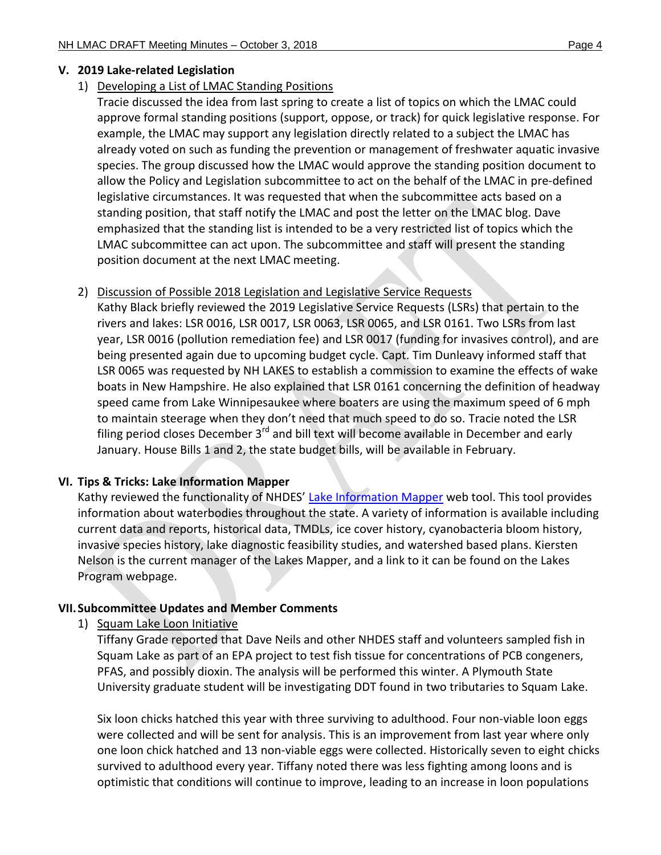### **V. 2019 Lake-related Legislation**

## 1) Developing a List of LMAC Standing Positions

Tracie discussed the idea from last spring to create a list of topics on which the LMAC could approve formal standing positions (support, oppose, or track) for quick legislative response. For example, the LMAC may support any legislation directly related to a subject the LMAC has already voted on such as funding the prevention or management of freshwater aquatic invasive species. The group discussed how the LMAC would approve the standing position document to allow the Policy and Legislation subcommittee to act on the behalf of the LMAC in pre-defined legislative circumstances. It was requested that when the subcommittee acts based on a standing position, that staff notify the LMAC and post the letter on the LMAC blog. Dave emphasized that the standing list is intended to be a very restricted list of topics which the LMAC subcommittee can act upon. The subcommittee and staff will present the standing position document at the next LMAC meeting.

### 2) Discussion of Possible 2018 Legislation and Legislative Service Requests

Kathy Black briefly reviewed the 2019 Legislative Service Requests (LSRs) that pertain to the rivers and lakes: LSR 0016, LSR 0017, LSR 0063, LSR 0065, and LSR 0161. Two LSRs from last year, LSR 0016 (pollution remediation fee) and LSR 0017 (funding for invasives control), and are being presented again due to upcoming budget cycle. Capt. Tim Dunleavy informed staff that LSR 0065 was requested by NH LAKES to establish a commission to examine the effects of wake boats in New Hampshire. He also explained that LSR 0161 concerning the definition of headway speed came from Lake Winnipesaukee where boaters are using the maximum speed of 6 mph to maintain steerage when they don't need that much speed to do so. Tracie noted the LSR filing period closes December  $3<sup>rd</sup>$  and bill text will become available in December and early January. House Bills 1 and 2, the state budget bills, will be available in February.

### **VI. Tips & Tricks: Lake Information Mapper**

Kathy reviewed the functionality of NHDES' [Lake Information](http://nhdes.maps.arcgis.com/apps/webappviewer/index.html?id=1f45dc20877b4b959239b8a4a60ef540) Mapper web tool. This tool provides information about waterbodies throughout the state. A variety of information is available including current data and reports, historical data, TMDLs, ice cover history, cyanobacteria bloom history, invasive species history, lake diagnostic feasibility studies, and watershed based plans. Kiersten Nelson is the current manager of the Lakes Mapper, and a link to it can be found on the Lakes Program webpage.

## **VII.Subcommittee Updates and Member Comments**

1) Squam Lake Loon Initiative

Tiffany Grade reported that Dave Neils and other NHDES staff and volunteers sampled fish in Squam Lake as part of an EPA project to test fish tissue for concentrations of PCB congeners, PFAS, and possibly dioxin. The analysis will be performed this winter. A Plymouth State University graduate student will be investigating DDT found in two tributaries to Squam Lake.

Six loon chicks hatched this year with three surviving to adulthood. Four non-viable loon eggs were collected and will be sent for analysis. This is an improvement from last year where only one loon chick hatched and 13 non-viable eggs were collected. Historically seven to eight chicks survived to adulthood every year. Tiffany noted there was less fighting among loons and is optimistic that conditions will continue to improve, leading to an increase in loon populations